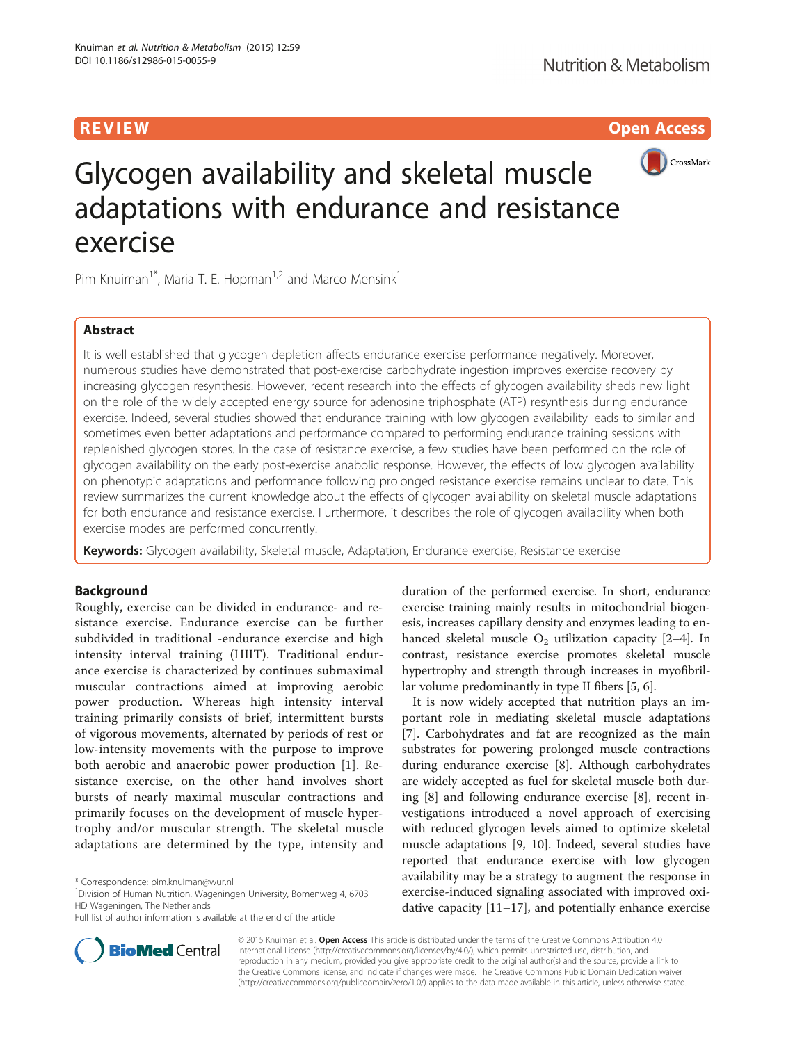R EVI EW Open Access



# Glycogen availability and skeletal muscle adaptations with endurance and resistance exercise

Pim Knuiman<sup>1\*</sup>, Maria T. E. Hopman<sup>1,2</sup> and Marco Mensink<sup>1</sup>

# Abstract

It is well established that glycogen depletion affects endurance exercise performance negatively. Moreover, numerous studies have demonstrated that post-exercise carbohydrate ingestion improves exercise recovery by increasing glycogen resynthesis. However, recent research into the effects of glycogen availability sheds new light on the role of the widely accepted energy source for adenosine triphosphate (ATP) resynthesis during endurance exercise. Indeed, several studies showed that endurance training with low glycogen availability leads to similar and sometimes even better adaptations and performance compared to performing endurance training sessions with replenished glycogen stores. In the case of resistance exercise, a few studies have been performed on the role of glycogen availability on the early post-exercise anabolic response. However, the effects of low glycogen availability on phenotypic adaptations and performance following prolonged resistance exercise remains unclear to date. This review summarizes the current knowledge about the effects of glycogen availability on skeletal muscle adaptations for both endurance and resistance exercise. Furthermore, it describes the role of glycogen availability when both exercise modes are performed concurrently.

Keywords: Glycogen availability, Skeletal muscle, Adaptation, Endurance exercise, Resistance exercise

# Background

Roughly, exercise can be divided in endurance- and resistance exercise. Endurance exercise can be further subdivided in traditional -endurance exercise and high intensity interval training (HIIT). Traditional endurance exercise is characterized by continues submaximal muscular contractions aimed at improving aerobic power production. Whereas high intensity interval training primarily consists of brief, intermittent bursts of vigorous movements, alternated by periods of rest or low-intensity movements with the purpose to improve both aerobic and anaerobic power production [[1\]](#page-8-0). Resistance exercise, on the other hand involves short bursts of nearly maximal muscular contractions and primarily focuses on the development of muscle hypertrophy and/or muscular strength. The skeletal muscle adaptations are determined by the type, intensity and

<sup>1</sup> Division of Human Nutrition, Wageningen University, Bomenweg 4, 6703 HD Wageningen, The Netherlands



It is now widely accepted that nutrition plays an important role in mediating skeletal muscle adaptations [[7\]](#page-8-0). Carbohydrates and fat are recognized as the main substrates for powering prolonged muscle contractions during endurance exercise [[8\]](#page-8-0). Although carbohydrates are widely accepted as fuel for skeletal muscle both during [[8](#page-8-0)] and following endurance exercise [\[8](#page-8-0)], recent investigations introduced a novel approach of exercising with reduced glycogen levels aimed to optimize skeletal muscle adaptations [\[9](#page-8-0), [10](#page-8-0)]. Indeed, several studies have reported that endurance exercise with low glycogen availability may be a strategy to augment the response in exercise-induced signaling associated with improved oxidative capacity  $[11-17]$  $[11-17]$  $[11-17]$ , and potentially enhance exercise



© 2015 Knuiman et al. Open Access This article is distributed under the terms of the Creative Commons Attribution 4.0 International License [\(http://creativecommons.org/licenses/by/4.0/](http://creativecommons.org/licenses/by/4.0/)), which permits unrestricted use, distribution, and reproduction in any medium, provided you give appropriate credit to the original author(s) and the source, provide a link to the Creative Commons license, and indicate if changes were made. The Creative Commons Public Domain Dedication waiver [\(http://creativecommons.org/publicdomain/zero/1.0/](http://creativecommons.org/publicdomain/zero/1.0/)) applies to the data made available in this article, unless otherwise stated.

<sup>\*</sup> Correspondence: [pim.knuiman@wur.nl](mailto:pim.knuiman@wur.nl) <sup>1</sup>

Full list of author information is available at the end of the article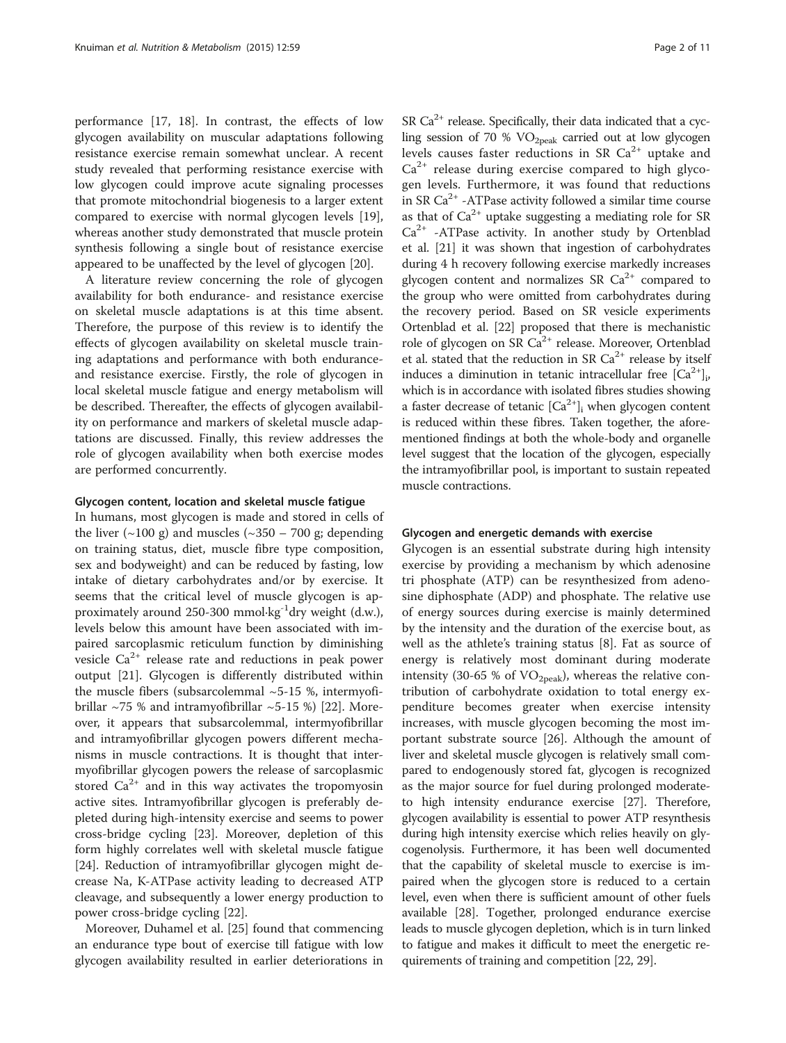performance [\[17](#page-8-0), [18\]](#page-8-0). In contrast, the effects of low glycogen availability on muscular adaptations following resistance exercise remain somewhat unclear. A recent study revealed that performing resistance exercise with low glycogen could improve acute signaling processes that promote mitochondrial biogenesis to a larger extent compared to exercise with normal glycogen levels [\[19](#page-8-0)], whereas another study demonstrated that muscle protein synthesis following a single bout of resistance exercise appeared to be unaffected by the level of glycogen [\[20\]](#page-8-0).

A literature review concerning the role of glycogen availability for both endurance- and resistance exercise on skeletal muscle adaptations is at this time absent. Therefore, the purpose of this review is to identify the effects of glycogen availability on skeletal muscle training adaptations and performance with both enduranceand resistance exercise. Firstly, the role of glycogen in local skeletal muscle fatigue and energy metabolism will be described. Thereafter, the effects of glycogen availability on performance and markers of skeletal muscle adaptations are discussed. Finally, this review addresses the role of glycogen availability when both exercise modes are performed concurrently.

#### Glycogen content, location and skeletal muscle fatigue

In humans, most glycogen is made and stored in cells of the liver  $(\sim 100 \text{ g})$  and muscles  $(\sim 350 - 700 \text{ g})$ ; depending on training status, diet, muscle fibre type composition, sex and bodyweight) and can be reduced by fasting, low intake of dietary carbohydrates and/or by exercise. It seems that the critical level of muscle glycogen is approximately around 250-300 mmol∙kg-1dry weight (d.w.), levels below this amount have been associated with impaired sarcoplasmic reticulum function by diminishing vesicle  $Ca^{2+}$  release rate and reductions in peak power output [[21](#page-8-0)]. Glycogen is differently distributed within the muscle fibers (subsarcolemmal  $~5$ -15 %, intermyofibrillar  $\sim$ 75 % and intramyofibrillar  $\sim$ 5-15 %) [\[22](#page-8-0)]. Moreover, it appears that subsarcolemmal, intermyofibrillar and intramyofibrillar glycogen powers different mechanisms in muscle contractions. It is thought that intermyofibrillar glycogen powers the release of sarcoplasmic stored  $Ca^{2+}$  and in this way activates the tropomyosin active sites. Intramyofibrillar glycogen is preferably depleted during high-intensity exercise and seems to power cross-bridge cycling [\[23\]](#page-8-0). Moreover, depletion of this form highly correlates well with skeletal muscle fatigue [[24\]](#page-8-0). Reduction of intramyofibrillar glycogen might decrease Na, K-ATPase activity leading to decreased ATP cleavage, and subsequently a lower energy production to power cross-bridge cycling [[22](#page-8-0)].

Moreover, Duhamel et al. [[25](#page-9-0)] found that commencing an endurance type bout of exercise till fatigue with low glycogen availability resulted in earlier deteriorations in

SR  $Ca<sup>2+</sup>$  release. Specifically, their data indicated that a cycling session of 70 %  $VO<sub>2peak</sub>$  carried out at low glycogen levels causes faster reductions in SR  $Ca<sup>2+</sup>$  uptake and  $Ca<sup>2+</sup>$  release during exercise compared to high glycogen levels. Furthermore, it was found that reductions in SR  $Ca^{2+}$  -ATPase activity followed a similar time course as that of  $Ca^{2+}$  uptake suggesting a mediating role for SR  $Ca<sup>2+</sup>$  -ATPase activity. In another study by Ortenblad et al. [[21](#page-8-0)] it was shown that ingestion of carbohydrates during 4 h recovery following exercise markedly increases glycogen content and normalizes SR  $Ca<sup>2+</sup>$  compared to the group who were omitted from carbohydrates during the recovery period. Based on SR vesicle experiments Ortenblad et al. [[22](#page-8-0)] proposed that there is mechanistic role of glycogen on SR  $Ca^{2+}$  release. Moreover, Ortenblad et al. stated that the reduction in SR  $Ca^{2+}$  release by itself induces a diminution in tetanic intracellular free  $[Ca^{2+}]_{i}$ which is in accordance with isolated fibres studies showing a faster decrease of tetanic  $[Ca^{2+}]$ ; when glycogen content is reduced within these fibres. Taken together, the aforementioned findings at both the whole-body and organelle level suggest that the location of the glycogen, especially the intramyofibrillar pool, is important to sustain repeated muscle contractions.

#### Glycogen and energetic demands with exercise

Glycogen is an essential substrate during high intensity exercise by providing a mechanism by which adenosine tri phosphate (ATP) can be resynthesized from adenosine diphosphate (ADP) and phosphate. The relative use of energy sources during exercise is mainly determined by the intensity and the duration of the exercise bout, as well as the athlete's training status [\[8](#page-8-0)]. Fat as source of energy is relatively most dominant during moderate intensity (30-65 % of  $VO<sub>2peak</sub>$ ), whereas the relative contribution of carbohydrate oxidation to total energy expenditure becomes greater when exercise intensity increases, with muscle glycogen becoming the most important substrate source [[26\]](#page-9-0). Although the amount of liver and skeletal muscle glycogen is relatively small compared to endogenously stored fat, glycogen is recognized as the major source for fuel during prolonged moderateto high intensity endurance exercise [\[27\]](#page-9-0). Therefore, glycogen availability is essential to power ATP resynthesis during high intensity exercise which relies heavily on glycogenolysis. Furthermore, it has been well documented that the capability of skeletal muscle to exercise is impaired when the glycogen store is reduced to a certain level, even when there is sufficient amount of other fuels available [[28](#page-9-0)]. Together, prolonged endurance exercise leads to muscle glycogen depletion, which is in turn linked to fatigue and makes it difficult to meet the energetic requirements of training and competition [\[22](#page-8-0), [29](#page-9-0)].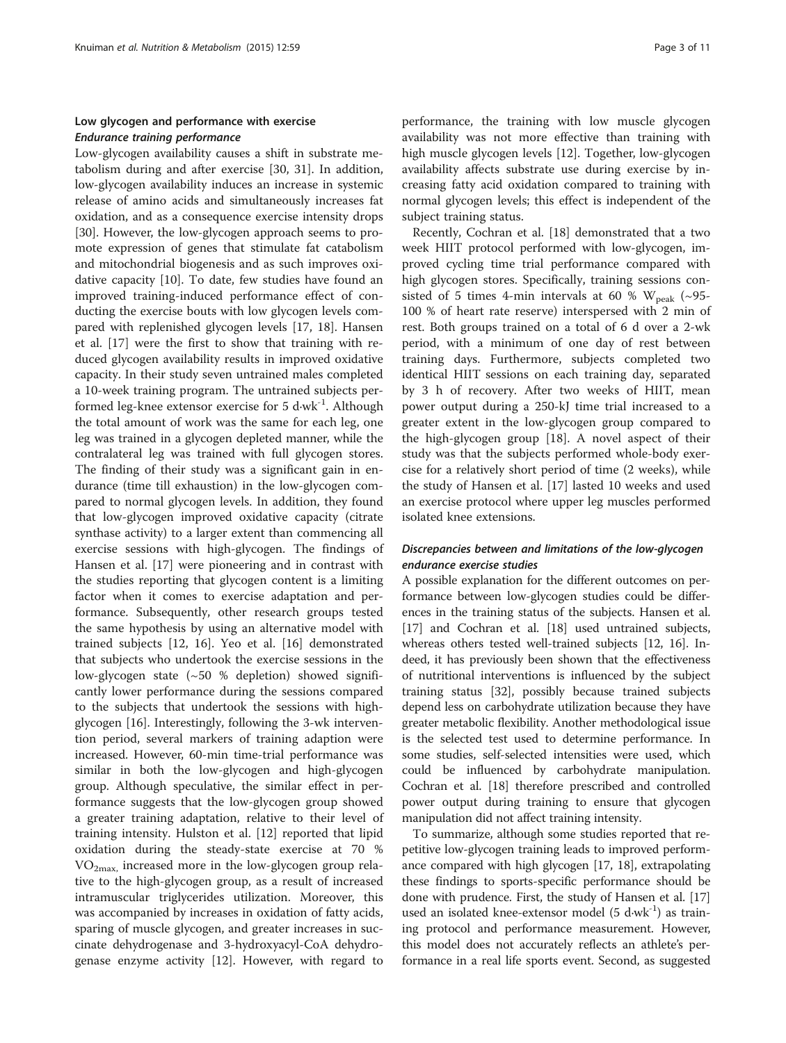# Low glycogen and performance with exercise Endurance training performance

Low-glycogen availability causes a shift in substrate metabolism during and after exercise [\[30, 31\]](#page-9-0). In addition, low-glycogen availability induces an increase in systemic release of amino acids and simultaneously increases fat oxidation, and as a consequence exercise intensity drops [[30\]](#page-9-0). However, the low-glycogen approach seems to promote expression of genes that stimulate fat catabolism and mitochondrial biogenesis and as such improves oxidative capacity [\[10](#page-8-0)]. To date, few studies have found an improved training-induced performance effect of conducting the exercise bouts with low glycogen levels compared with replenished glycogen levels [[17, 18](#page-8-0)]. Hansen et al. [[17\]](#page-8-0) were the first to show that training with reduced glycogen availability results in improved oxidative capacity. In their study seven untrained males completed a 10-week training program. The untrained subjects performed leg-knee extensor exercise for 5 d∙wk-1. Although the total amount of work was the same for each leg, one leg was trained in a glycogen depleted manner, while the contralateral leg was trained with full glycogen stores. The finding of their study was a significant gain in endurance (time till exhaustion) in the low-glycogen compared to normal glycogen levels. In addition, they found that low-glycogen improved oxidative capacity (citrate synthase activity) to a larger extent than commencing all exercise sessions with high-glycogen. The findings of Hansen et al. [[17](#page-8-0)] were pioneering and in contrast with the studies reporting that glycogen content is a limiting factor when it comes to exercise adaptation and performance. Subsequently, other research groups tested the same hypothesis by using an alternative model with trained subjects [[12, 16](#page-8-0)]. Yeo et al. [[16\]](#page-8-0) demonstrated that subjects who undertook the exercise sessions in the low-glycogen state (~50 % depletion) showed significantly lower performance during the sessions compared to the subjects that undertook the sessions with highglycogen [[16](#page-8-0)]. Interestingly, following the 3-wk intervention period, several markers of training adaption were increased. However, 60-min time-trial performance was similar in both the low-glycogen and high-glycogen group. Although speculative, the similar effect in performance suggests that the low-glycogen group showed a greater training adaptation, relative to their level of training intensity. Hulston et al. [\[12](#page-8-0)] reported that lipid oxidation during the steady-state exercise at 70 %  $VO<sub>2max</sub>$ , increased more in the low-glycogen group relative to the high-glycogen group, as a result of increased intramuscular triglycerides utilization. Moreover, this was accompanied by increases in oxidation of fatty acids, sparing of muscle glycogen, and greater increases in succinate dehydrogenase and 3-hydroxyacyl-CoA dehydrogenase enzyme activity [[12](#page-8-0)]. However, with regard to

performance, the training with low muscle glycogen availability was not more effective than training with high muscle glycogen levels [[12\]](#page-8-0). Together, low-glycogen availability affects substrate use during exercise by increasing fatty acid oxidation compared to training with normal glycogen levels; this effect is independent of the subject training status.

Recently, Cochran et al. [\[18](#page-8-0)] demonstrated that a two week HIIT protocol performed with low-glycogen, improved cycling time trial performance compared with high glycogen stores. Specifically, training sessions consisted of 5 times 4-min intervals at 60 %  $W_{\text{peak}}$  (~95-100 % of heart rate reserve) interspersed with 2 min of rest. Both groups trained on a total of 6 d over a 2-wk period, with a minimum of one day of rest between training days. Furthermore, subjects completed two identical HIIT sessions on each training day, separated by 3 h of recovery. After two weeks of HIIT, mean power output during a 250-kJ time trial increased to a greater extent in the low-glycogen group compared to the high-glycogen group [[18\]](#page-8-0). A novel aspect of their study was that the subjects performed whole-body exercise for a relatively short period of time (2 weeks), while the study of Hansen et al. [[17\]](#page-8-0) lasted 10 weeks and used an exercise protocol where upper leg muscles performed isolated knee extensions.

# Discrepancies between and limitations of the low-glycogen endurance exercise studies

A possible explanation for the different outcomes on performance between low-glycogen studies could be differences in the training status of the subjects. Hansen et al. [[17](#page-8-0)] and Cochran et al. [\[18](#page-8-0)] used untrained subjects, whereas others tested well-trained subjects [[12, 16\]](#page-8-0). Indeed, it has previously been shown that the effectiveness of nutritional interventions is influenced by the subject training status [[32\]](#page-9-0), possibly because trained subjects depend less on carbohydrate utilization because they have greater metabolic flexibility. Another methodological issue is the selected test used to determine performance. In some studies, self-selected intensities were used, which could be influenced by carbohydrate manipulation. Cochran et al. [\[18\]](#page-8-0) therefore prescribed and controlled power output during training to ensure that glycogen manipulation did not affect training intensity.

To summarize, although some studies reported that repetitive low-glycogen training leads to improved performance compared with high glycogen [[17, 18\]](#page-8-0), extrapolating these findings to sports-specific performance should be done with prudence. First, the study of Hansen et al. [[17](#page-8-0)] used an isolated knee-extensor model (5 d∙wk-1) as training protocol and performance measurement. However, this model does not accurately reflects an athlete's performance in a real life sports event. Second, as suggested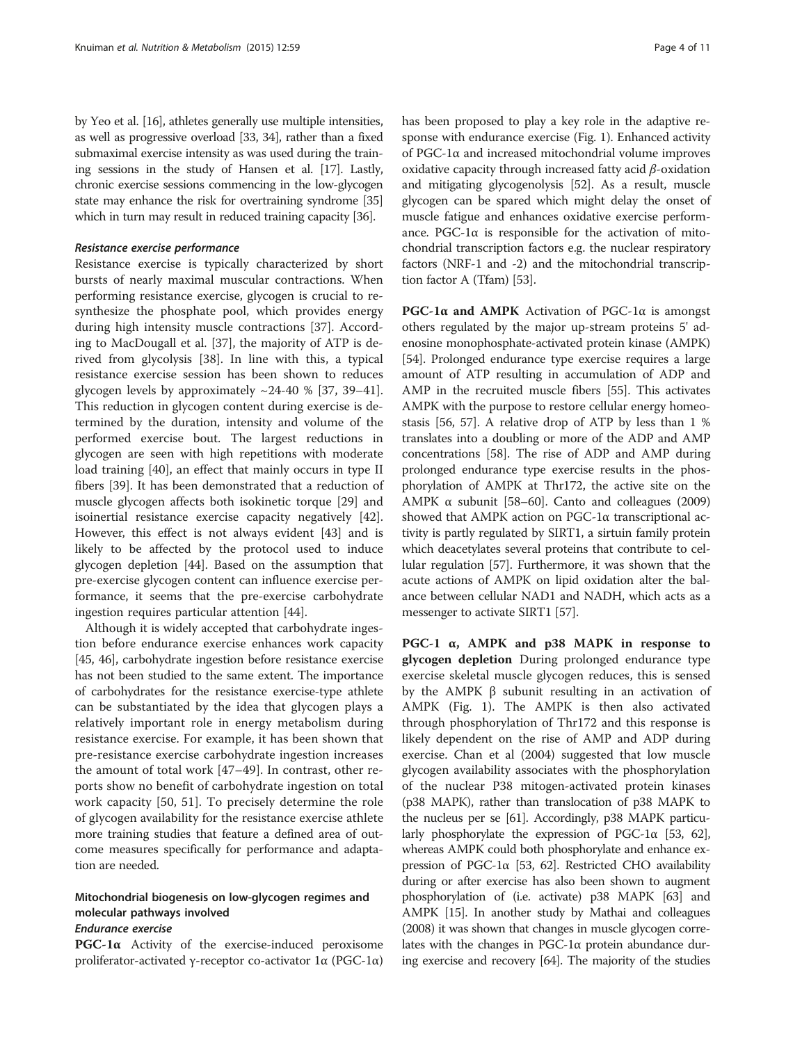by Yeo et al. [\[16](#page-8-0)], athletes generally use multiple intensities, as well as progressive overload [\[33, 34](#page-9-0)], rather than a fixed submaximal exercise intensity as was used during the training sessions in the study of Hansen et al. [[17](#page-8-0)]. Lastly, chronic exercise sessions commencing in the low-glycogen state may enhance the risk for overtraining syndrome [\[35](#page-9-0)] which in turn may result in reduced training capacity [\[36\]](#page-9-0).

# Resistance exercise performance

Resistance exercise is typically characterized by short bursts of nearly maximal muscular contractions. When performing resistance exercise, glycogen is crucial to resynthesize the phosphate pool, which provides energy during high intensity muscle contractions [\[37](#page-9-0)]. According to MacDougall et al. [\[37](#page-9-0)], the majority of ATP is derived from glycolysis [\[38\]](#page-9-0). In line with this, a typical resistance exercise session has been shown to reduces glycogen levels by approximately  $\sim$ 24-40 % [[37, 39](#page-9-0)-[41](#page-9-0)]. This reduction in glycogen content during exercise is determined by the duration, intensity and volume of the performed exercise bout. The largest reductions in glycogen are seen with high repetitions with moderate load training [[40](#page-9-0)], an effect that mainly occurs in type II fibers [[39](#page-9-0)]. It has been demonstrated that a reduction of muscle glycogen affects both isokinetic torque [[29](#page-9-0)] and isoinertial resistance exercise capacity negatively [\[42](#page-9-0)]. However, this effect is not always evident [\[43\]](#page-9-0) and is likely to be affected by the protocol used to induce glycogen depletion [[44](#page-9-0)]. Based on the assumption that pre-exercise glycogen content can influence exercise performance, it seems that the pre-exercise carbohydrate ingestion requires particular attention [[44\]](#page-9-0).

Although it is widely accepted that carbohydrate ingestion before endurance exercise enhances work capacity [[45](#page-9-0), [46](#page-9-0)], carbohydrate ingestion before resistance exercise has not been studied to the same extent. The importance of carbohydrates for the resistance exercise-type athlete can be substantiated by the idea that glycogen plays a relatively important role in energy metabolism during resistance exercise. For example, it has been shown that pre-resistance exercise carbohydrate ingestion increases the amount of total work [[47](#page-9-0)–[49](#page-9-0)]. In contrast, other reports show no benefit of carbohydrate ingestion on total work capacity [[50, 51\]](#page-9-0). To precisely determine the role of glycogen availability for the resistance exercise athlete more training studies that feature a defined area of outcome measures specifically for performance and adaptation are needed.

# Mitochondrial biogenesis on low-glycogen regimes and molecular pathways involved

# Endurance exercise

PGC-1α Activity of the exercise-induced peroxisome proliferator-activated γ-receptor co-activator  $1α$  (PGC- $1α$ ) has been proposed to play a key role in the adaptive response with endurance exercise (Fig. [1\)](#page-4-0). Enhanced activity of PGC-1α and increased mitochondrial volume improves oxidative capacity through increased fatty acid  $\beta$ -oxidation and mitigating glycogenolysis [\[52\]](#page-9-0). As a result, muscle glycogen can be spared which might delay the onset of muscle fatigue and enhances oxidative exercise performance. PGC-1 $\alpha$  is responsible for the activation of mitochondrial transcription factors e.g. the nuclear respiratory factors (NRF-1 and -2) and the mitochondrial transcription factor A (Tfam) [[53](#page-9-0)].

PGC-1α and AMPK Activation of PGC-1α is amongst others regulated by the major up-stream proteins 5' adenosine monophosphate-activated protein kinase (AMPK) [[54](#page-9-0)]. Prolonged endurance type exercise requires a large amount of ATP resulting in accumulation of ADP and AMP in the recruited muscle fibers [\[55\]](#page-9-0). This activates AMPK with the purpose to restore cellular energy homeostasis [\[56, 57](#page-9-0)]. A relative drop of ATP by less than 1 % translates into a doubling or more of the ADP and AMP concentrations [[58](#page-9-0)]. The rise of ADP and AMP during prolonged endurance type exercise results in the phosphorylation of AMPK at Thr172, the active site on the AMPK  $\alpha$  subunit [[58](#page-9-0)–[60\]](#page-9-0). Canto and colleagues (2009) showed that AMPK action on PGC-1α transcriptional activity is partly regulated by SIRT1, a sirtuin family protein which deacetylates several proteins that contribute to cellular regulation [[57](#page-9-0)]. Furthermore, it was shown that the acute actions of AMPK on lipid oxidation alter the balance between cellular NAD1 and NADH, which acts as a messenger to activate SIRT1 [[57](#page-9-0)].

PGC-1 α, AMPK and p38 MAPK in response to glycogen depletion During prolonged endurance type exercise skeletal muscle glycogen reduces, this is sensed by the AMPK β subunit resulting in an activation of AMPK (Fig. [1\)](#page-4-0). The AMPK is then also activated through phosphorylation of Thr172 and this response is likely dependent on the rise of AMP and ADP during exercise. Chan et al (2004) suggested that low muscle glycogen availability associates with the phosphorylation of the nuclear P38 mitogen-activated protein kinases (p38 MAPK), rather than translocation of p38 MAPK to the nucleus per se [\[61\]](#page-9-0). Accordingly, p38 MAPK particularly phosphorylate the expression of PGC-1 $\alpha$  [\[53](#page-9-0), [62](#page-9-0)], whereas AMPK could both phosphorylate and enhance expression of PGC-1 $α$  [[53](#page-9-0), [62](#page-9-0)]. Restricted CHO availability during or after exercise has also been shown to augment phosphorylation of (i.e. activate) p38 MAPK [\[63\]](#page-9-0) and AMPK [\[15\]](#page-8-0). In another study by Mathai and colleagues (2008) it was shown that changes in muscle glycogen correlates with the changes in PGC-1α protein abundance during exercise and recovery [\[64](#page-9-0)]. The majority of the studies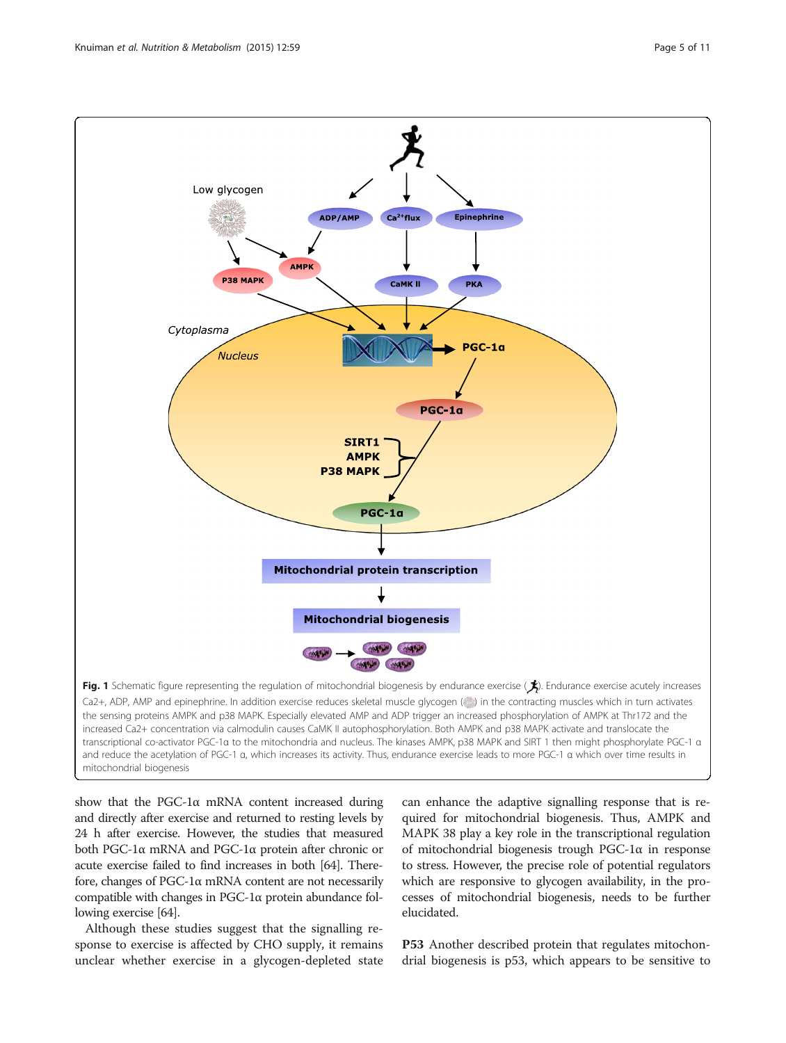<span id="page-4-0"></span>

transcriptional co-activator PGC-1α to the mitochondria and nucleus. The kinases AMPK, p38 MAPK and SIRT 1 then might phosphorylate PGC-1 α and reduce the acetylation of PGC-1 α, which increases its activity. Thus, endurance exercise leads to more PGC-1 α which over time results in mitochondrial biogenesis

show that the PGC-1 $\alpha$  mRNA content increased during and directly after exercise and returned to resting levels by 24 h after exercise. However, the studies that measured both PGC-1α mRNA and PGC-1α protein after chronic or acute exercise failed to find increases in both [[64\]](#page-9-0). Therefore, changes of PGC-1α mRNA content are not necessarily compatible with changes in PGC-1α protein abundance following exercise [\[64](#page-9-0)].

Although these studies suggest that the signalling response to exercise is affected by CHO supply, it remains unclear whether exercise in a glycogen-depleted state can enhance the adaptive signalling response that is required for mitochondrial biogenesis. Thus, AMPK and MAPK 38 play a key role in the transcriptional regulation of mitochondrial biogenesis trough PGC-1α in response to stress. However, the precise role of potential regulators which are responsive to glycogen availability, in the processes of mitochondrial biogenesis, needs to be further elucidated.

P53 Another described protein that regulates mitochondrial biogenesis is p53, which appears to be sensitive to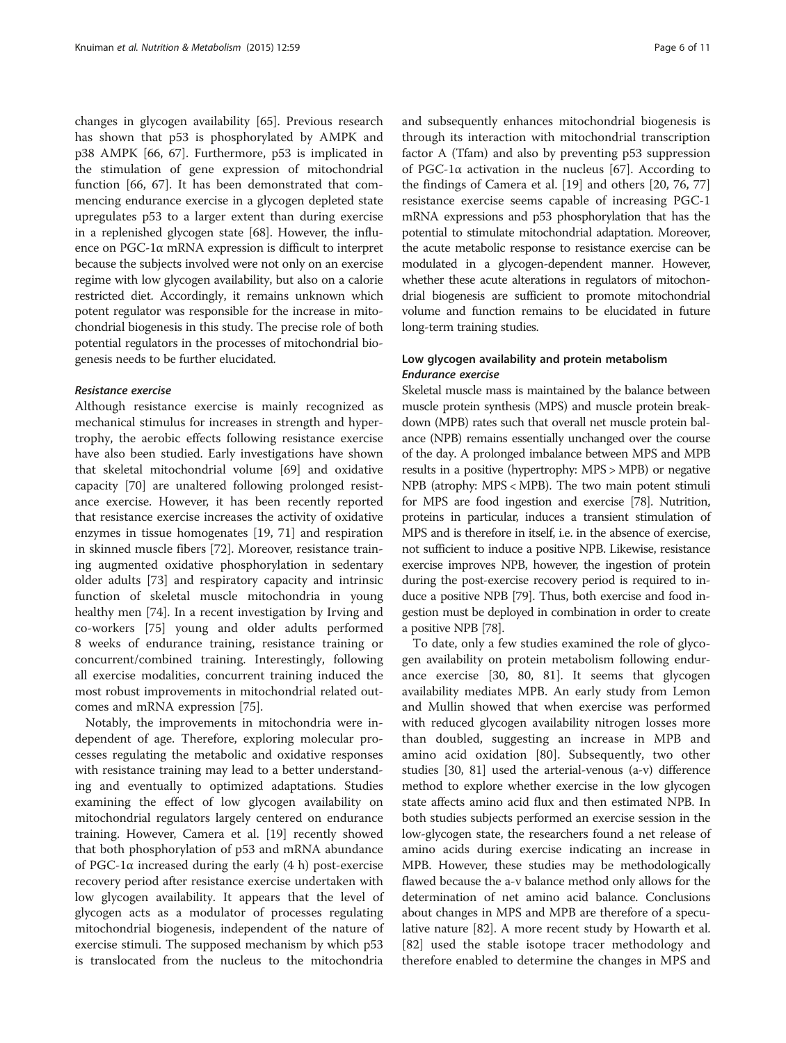changes in glycogen availability [\[65](#page-9-0)]. Previous research has shown that p53 is phosphorylated by AMPK and p38 AMPK [[66, 67\]](#page-9-0). Furthermore, p53 is implicated in the stimulation of gene expression of mitochondrial function [[66, 67](#page-9-0)]. It has been demonstrated that commencing endurance exercise in a glycogen depleted state upregulates p53 to a larger extent than during exercise in a replenished glycogen state [[68](#page-9-0)]. However, the influence on PGC-1α mRNA expression is difficult to interpret because the subjects involved were not only on an exercise regime with low glycogen availability, but also on a calorie restricted diet. Accordingly, it remains unknown which potent regulator was responsible for the increase in mitochondrial biogenesis in this study. The precise role of both potential regulators in the processes of mitochondrial biogenesis needs to be further elucidated.

# Resistance exercise

Although resistance exercise is mainly recognized as mechanical stimulus for increases in strength and hypertrophy, the aerobic effects following resistance exercise have also been studied. Early investigations have shown that skeletal mitochondrial volume [\[69\]](#page-9-0) and oxidative capacity [[70\]](#page-9-0) are unaltered following prolonged resistance exercise. However, it has been recently reported that resistance exercise increases the activity of oxidative enzymes in tissue homogenates [\[19,](#page-8-0) [71\]](#page-9-0) and respiration in skinned muscle fibers [\[72](#page-9-0)]. Moreover, resistance training augmented oxidative phosphorylation in sedentary older adults [\[73](#page-9-0)] and respiratory capacity and intrinsic function of skeletal muscle mitochondria in young healthy men [[74\]](#page-9-0). In a recent investigation by Irving and co-workers [[75\]](#page-10-0) young and older adults performed 8 weeks of endurance training, resistance training or concurrent/combined training. Interestingly, following all exercise modalities, concurrent training induced the most robust improvements in mitochondrial related outcomes and mRNA expression [\[75](#page-10-0)].

Notably, the improvements in mitochondria were independent of age. Therefore, exploring molecular processes regulating the metabolic and oxidative responses with resistance training may lead to a better understanding and eventually to optimized adaptations. Studies examining the effect of low glycogen availability on mitochondrial regulators largely centered on endurance training. However, Camera et al. [[19](#page-8-0)] recently showed that both phosphorylation of p53 and mRNA abundance of PGC-1α increased during the early (4 h) post-exercise recovery period after resistance exercise undertaken with low glycogen availability. It appears that the level of glycogen acts as a modulator of processes regulating mitochondrial biogenesis, independent of the nature of exercise stimuli. The supposed mechanism by which p53 is translocated from the nucleus to the mitochondria

and subsequently enhances mitochondrial biogenesis is through its interaction with mitochondrial transcription factor A (Tfam) and also by preventing p53 suppression of PGC-1α activation in the nucleus [[67\]](#page-9-0). According to the findings of Camera et al. [[19\]](#page-8-0) and others [\[20](#page-8-0), [76](#page-10-0), [77](#page-10-0)] resistance exercise seems capable of increasing PGC-1 mRNA expressions and p53 phosphorylation that has the potential to stimulate mitochondrial adaptation. Moreover, the acute metabolic response to resistance exercise can be modulated in a glycogen-dependent manner. However, whether these acute alterations in regulators of mitochondrial biogenesis are sufficient to promote mitochondrial volume and function remains to be elucidated in future long-term training studies.

# Low glycogen availability and protein metabolism Endurance exercise

Skeletal muscle mass is maintained by the balance between muscle protein synthesis (MPS) and muscle protein breakdown (MPB) rates such that overall net muscle protein balance (NPB) remains essentially unchanged over the course of the day. A prolonged imbalance between MPS and MPB results in a positive (hypertrophy: MPS > MPB) or negative NPB (atrophy: MPS < MPB). The two main potent stimuli for MPS are food ingestion and exercise [[78](#page-10-0)]. Nutrition, proteins in particular, induces a transient stimulation of MPS and is therefore in itself, i.e. in the absence of exercise, not sufficient to induce a positive NPB. Likewise, resistance exercise improves NPB, however, the ingestion of protein during the post-exercise recovery period is required to induce a positive NPB [\[79](#page-10-0)]. Thus, both exercise and food ingestion must be deployed in combination in order to create a positive NPB [\[78](#page-10-0)].

To date, only a few studies examined the role of glycogen availability on protein metabolism following endurance exercise [\[30](#page-9-0), [80](#page-10-0), [81\]](#page-10-0). It seems that glycogen availability mediates MPB. An early study from Lemon and Mullin showed that when exercise was performed with reduced glycogen availability nitrogen losses more than doubled, suggesting an increase in MPB and amino acid oxidation [\[80](#page-10-0)]. Subsequently, two other studies [[30](#page-9-0), [81](#page-10-0)] used the arterial-venous (a-v) difference method to explore whether exercise in the low glycogen state affects amino acid flux and then estimated NPB. In both studies subjects performed an exercise session in the low-glycogen state, the researchers found a net release of amino acids during exercise indicating an increase in MPB. However, these studies may be methodologically flawed because the a-v balance method only allows for the determination of net amino acid balance. Conclusions about changes in MPS and MPB are therefore of a speculative nature [\[82](#page-10-0)]. A more recent study by Howarth et al. [[82\]](#page-10-0) used the stable isotope tracer methodology and therefore enabled to determine the changes in MPS and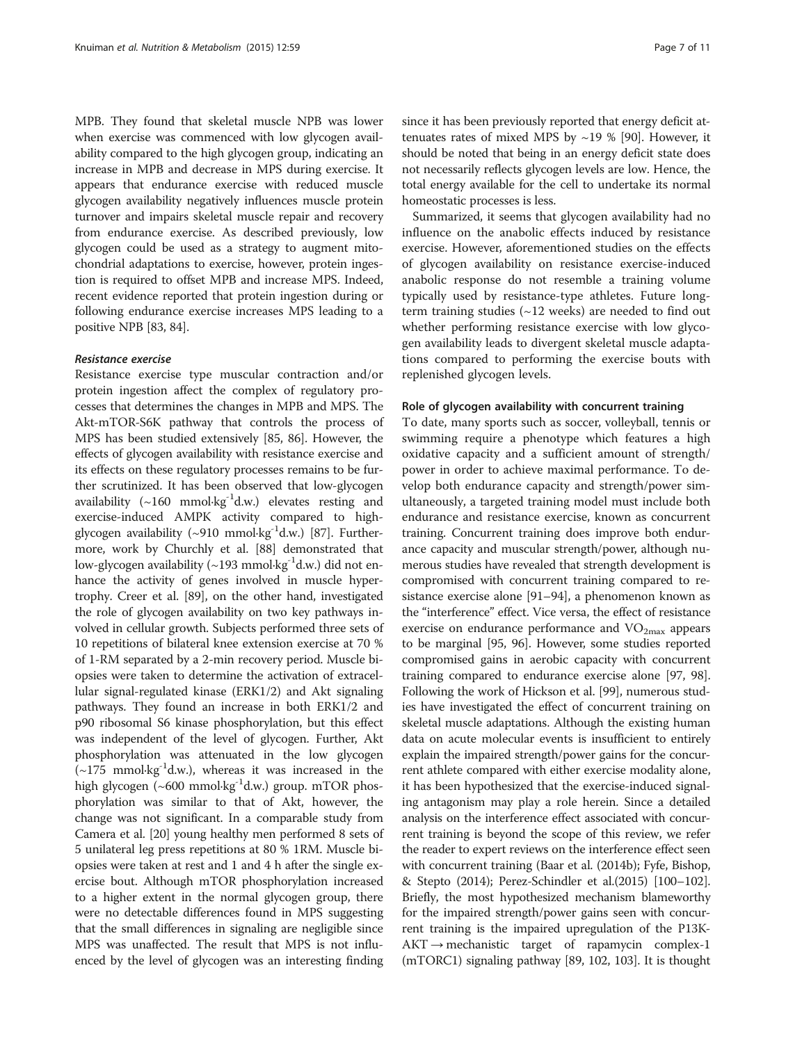MPB. They found that skeletal muscle NPB was lower when exercise was commenced with low glycogen availability compared to the high glycogen group, indicating an increase in MPB and decrease in MPS during exercise. It appears that endurance exercise with reduced muscle glycogen availability negatively influences muscle protein turnover and impairs skeletal muscle repair and recovery from endurance exercise. As described previously, low glycogen could be used as a strategy to augment mitochondrial adaptations to exercise, however, protein ingestion is required to offset MPB and increase MPS. Indeed, recent evidence reported that protein ingestion during or following endurance exercise increases MPS leading to a positive NPB [\[83, 84](#page-10-0)].

# Resistance exercise

Resistance exercise type muscular contraction and/or protein ingestion affect the complex of regulatory processes that determines the changes in MPB and MPS. The Akt-mTOR-S6K pathway that controls the process of MPS has been studied extensively [[85](#page-10-0), [86\]](#page-10-0). However, the effects of glycogen availability with resistance exercise and its effects on these regulatory processes remains to be further scrutinized. It has been observed that low-glycogen availability (~160 mmol⋅kg<sup>-1</sup>d.w.) elevates resting and exercise-induced AMPK activity compared to high-glycogen availability (~910 mmol⋅kg<sup>-1</sup>d.w.) [\[87\]](#page-10-0). Furthermore, work by Churchly et al. [[88](#page-10-0)] demonstrated that low-glycogen availability (~193 mmol∙kg-1d.w.) did not enhance the activity of genes involved in muscle hypertrophy. Creer et al. [[89](#page-10-0)], on the other hand, investigated the role of glycogen availability on two key pathways involved in cellular growth. Subjects performed three sets of 10 repetitions of bilateral knee extension exercise at 70 % of 1-RM separated by a 2-min recovery period. Muscle biopsies were taken to determine the activation of extracellular signal-regulated kinase (ERK1/2) and Akt signaling pathways. They found an increase in both ERK1/2 and p90 ribosomal S6 kinase phosphorylation, but this effect was independent of the level of glycogen. Further, Akt phosphorylation was attenuated in the low glycogen (~175 mmol∙kg-1d.w.), whereas it was increased in the high glycogen (~600 mmol∙kg-1d.w.) group. mTOR phosphorylation was similar to that of Akt, however, the change was not significant. In a comparable study from Camera et al. [\[20\]](#page-8-0) young healthy men performed 8 sets of 5 unilateral leg press repetitions at 80 % 1RM. Muscle biopsies were taken at rest and 1 and 4 h after the single exercise bout. Although mTOR phosphorylation increased to a higher extent in the normal glycogen group, there were no detectable differences found in MPS suggesting that the small differences in signaling are negligible since MPS was unaffected. The result that MPS is not influenced by the level of glycogen was an interesting finding since it has been previously reported that energy deficit attenuates rates of mixed MPS by  $\sim$  19 % [\[90](#page-10-0)]. However, it should be noted that being in an energy deficit state does not necessarily reflects glycogen levels are low. Hence, the total energy available for the cell to undertake its normal homeostatic processes is less.

Summarized, it seems that glycogen availability had no influence on the anabolic effects induced by resistance exercise. However, aforementioned studies on the effects of glycogen availability on resistance exercise-induced anabolic response do not resemble a training volume typically used by resistance-type athletes. Future longterm training studies  $(\sim 12$  weeks) are needed to find out whether performing resistance exercise with low glycogen availability leads to divergent skeletal muscle adaptations compared to performing the exercise bouts with replenished glycogen levels.

#### Role of glycogen availability with concurrent training

To date, many sports such as soccer, volleyball, tennis or swimming require a phenotype which features a high oxidative capacity and a sufficient amount of strength/ power in order to achieve maximal performance. To develop both endurance capacity and strength/power simultaneously, a targeted training model must include both endurance and resistance exercise, known as concurrent training. Concurrent training does improve both endurance capacity and muscular strength/power, although numerous studies have revealed that strength development is compromised with concurrent training compared to resistance exercise alone [\[91](#page-10-0)–[94](#page-10-0)], a phenomenon known as the "interference" effect. Vice versa, the effect of resistance exercise on endurance performance and  $VO_{2max}$  appears to be marginal [\[95, 96](#page-10-0)]. However, some studies reported compromised gains in aerobic capacity with concurrent training compared to endurance exercise alone [[97](#page-10-0), [98](#page-10-0)]. Following the work of Hickson et al. [[99\]](#page-10-0), numerous studies have investigated the effect of concurrent training on skeletal muscle adaptations. Although the existing human data on acute molecular events is insufficient to entirely explain the impaired strength/power gains for the concurrent athlete compared with either exercise modality alone, it has been hypothesized that the exercise-induced signaling antagonism may play a role herein. Since a detailed analysis on the interference effect associated with concurrent training is beyond the scope of this review, we refer the reader to expert reviews on the interference effect seen with concurrent training (Baar et al. (2014b); Fyfe, Bishop, & Stepto (2014); Perez-Schindler et al.(2015) [[100](#page-10-0)–[102](#page-10-0)]. Briefly, the most hypothesized mechanism blameworthy for the impaired strength/power gains seen with concurrent training is the impaired upregulation of the P13K- $AKT \rightarrow$  mechanistic target of rapamycin complex-1 (mTORC1) signaling pathway [\[89, 102](#page-10-0), [103](#page-10-0)]. It is thought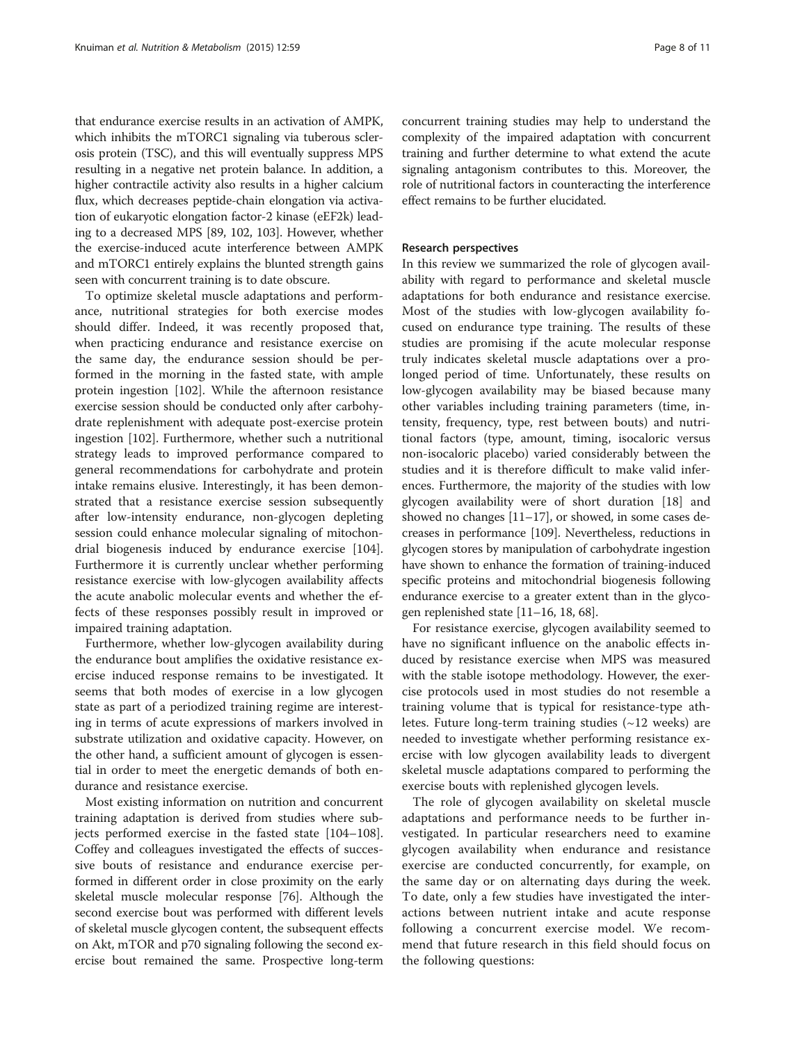that endurance exercise results in an activation of AMPK, which inhibits the mTORC1 signaling via tuberous sclerosis protein (TSC), and this will eventually suppress MPS resulting in a negative net protein balance. In addition, a higher contractile activity also results in a higher calcium flux, which decreases peptide-chain elongation via activation of eukaryotic elongation factor-2 kinase (eEF2k) leading to a decreased MPS [[89](#page-10-0), [102](#page-10-0), [103\]](#page-10-0). However, whether the exercise-induced acute interference between AMPK and mTORC1 entirely explains the blunted strength gains seen with concurrent training is to date obscure.

To optimize skeletal muscle adaptations and performance, nutritional strategies for both exercise modes should differ. Indeed, it was recently proposed that, when practicing endurance and resistance exercise on the same day, the endurance session should be performed in the morning in the fasted state, with ample protein ingestion [\[102](#page-10-0)]. While the afternoon resistance exercise session should be conducted only after carbohydrate replenishment with adequate post-exercise protein ingestion [\[102\]](#page-10-0). Furthermore, whether such a nutritional strategy leads to improved performance compared to general recommendations for carbohydrate and protein intake remains elusive. Interestingly, it has been demonstrated that a resistance exercise session subsequently after low-intensity endurance, non-glycogen depleting session could enhance molecular signaling of mitochondrial biogenesis induced by endurance exercise [\[104](#page-10-0)]. Furthermore it is currently unclear whether performing resistance exercise with low-glycogen availability affects the acute anabolic molecular events and whether the effects of these responses possibly result in improved or impaired training adaptation.

Furthermore, whether low-glycogen availability during the endurance bout amplifies the oxidative resistance exercise induced response remains to be investigated. It seems that both modes of exercise in a low glycogen state as part of a periodized training regime are interesting in terms of acute expressions of markers involved in substrate utilization and oxidative capacity. However, on the other hand, a sufficient amount of glycogen is essential in order to meet the energetic demands of both endurance and resistance exercise.

Most existing information on nutrition and concurrent training adaptation is derived from studies where subjects performed exercise in the fasted state [[104](#page-10-0)–[108](#page-10-0)]. Coffey and colleagues investigated the effects of successive bouts of resistance and endurance exercise performed in different order in close proximity on the early skeletal muscle molecular response [\[76\]](#page-10-0). Although the second exercise bout was performed with different levels of skeletal muscle glycogen content, the subsequent effects on Akt, mTOR and p70 signaling following the second exercise bout remained the same. Prospective long-term concurrent training studies may help to understand the complexity of the impaired adaptation with concurrent training and further determine to what extend the acute signaling antagonism contributes to this. Moreover, the role of nutritional factors in counteracting the interference effect remains to be further elucidated.

### Research perspectives

In this review we summarized the role of glycogen availability with regard to performance and skeletal muscle adaptations for both endurance and resistance exercise. Most of the studies with low-glycogen availability focused on endurance type training. The results of these studies are promising if the acute molecular response truly indicates skeletal muscle adaptations over a prolonged period of time. Unfortunately, these results on low-glycogen availability may be biased because many other variables including training parameters (time, intensity, frequency, type, rest between bouts) and nutritional factors (type, amount, timing, isocaloric versus non-isocaloric placebo) varied considerably between the studies and it is therefore difficult to make valid inferences. Furthermore, the majority of the studies with low glycogen availability were of short duration [[18\]](#page-8-0) and showed no changes [\[11](#page-8-0)–[17\]](#page-8-0), or showed, in some cases decreases in performance [\[109\]](#page-10-0). Nevertheless, reductions in glycogen stores by manipulation of carbohydrate ingestion have shown to enhance the formation of training-induced specific proteins and mitochondrial biogenesis following endurance exercise to a greater extent than in the glycogen replenished state [\[11](#page-8-0)–[16, 18,](#page-8-0) [68](#page-9-0)].

For resistance exercise, glycogen availability seemed to have no significant influence on the anabolic effects induced by resistance exercise when MPS was measured with the stable isotope methodology. However, the exercise protocols used in most studies do not resemble a training volume that is typical for resistance-type athletes. Future long-term training studies (~12 weeks) are needed to investigate whether performing resistance exercise with low glycogen availability leads to divergent skeletal muscle adaptations compared to performing the exercise bouts with replenished glycogen levels.

The role of glycogen availability on skeletal muscle adaptations and performance needs to be further investigated. In particular researchers need to examine glycogen availability when endurance and resistance exercise are conducted concurrently, for example, on the same day or on alternating days during the week. To date, only a few studies have investigated the interactions between nutrient intake and acute response following a concurrent exercise model. We recommend that future research in this field should focus on the following questions: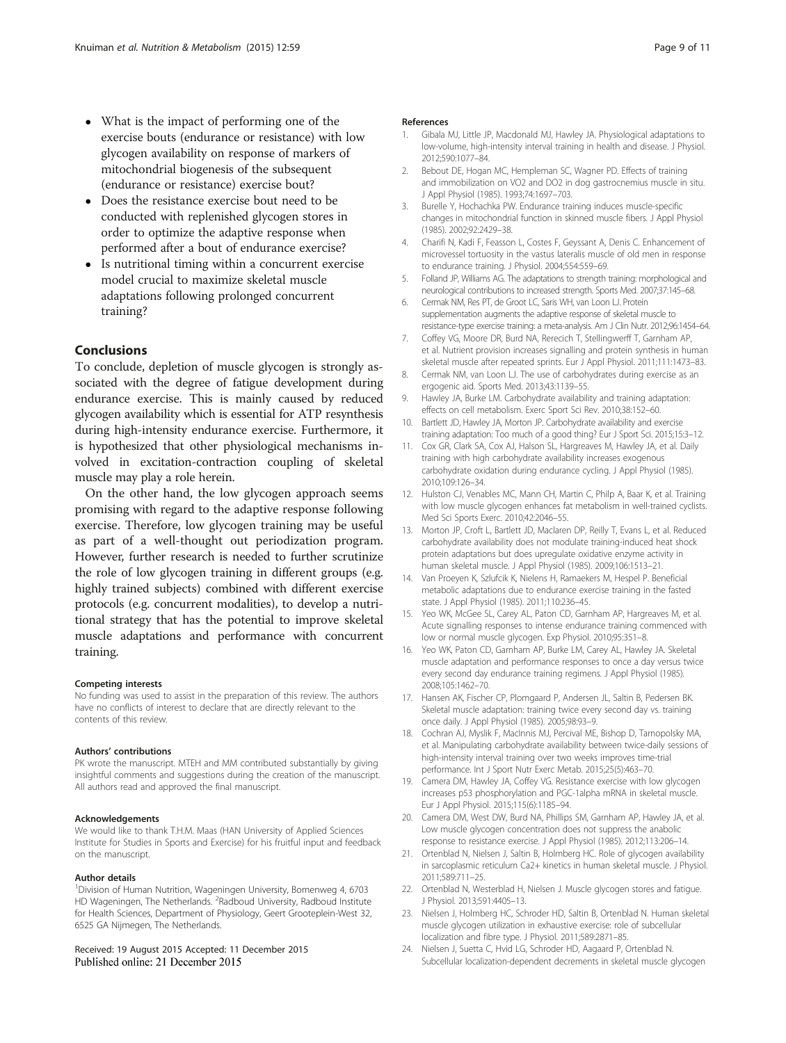- <span id="page-8-0"></span> What is the impact of performing one of the exercise bouts (endurance or resistance) with low glycogen availability on response of markers of mitochondrial biogenesis of the subsequent (endurance or resistance) exercise bout?
- Does the resistance exercise bout need to be conducted with replenished glycogen stores in order to optimize the adaptive response when performed after a bout of endurance exercise?
- Is nutritional timing within a concurrent exercise model crucial to maximize skeletal muscle adaptations following prolonged concurrent training?

# Conclusions

To conclude, depletion of muscle glycogen is strongly associated with the degree of fatigue development during endurance exercise. This is mainly caused by reduced glycogen availability which is essential for ATP resynthesis during high-intensity endurance exercise. Furthermore, it is hypothesized that other physiological mechanisms involved in excitation-contraction coupling of skeletal muscle may play a role herein.

On the other hand, the low glycogen approach seems promising with regard to the adaptive response following exercise. Therefore, low glycogen training may be useful as part of a well-thought out periodization program. However, further research is needed to further scrutinize the role of low glycogen training in different groups (e.g. highly trained subjects) combined with different exercise protocols (e.g. concurrent modalities), to develop a nutritional strategy that has the potential to improve skeletal muscle adaptations and performance with concurrent training.

#### Competing interests

No funding was used to assist in the preparation of this review. The authors have no conflicts of interest to declare that are directly relevant to the contents of this review.

#### Authors' contributions

PK wrote the manuscript. MTEH and MM contributed substantially by giving insightful comments and suggestions during the creation of the manuscript. All authors read and approved the final manuscript.

#### Acknowledgements

We would like to thank T.H.M. Maas (HAN University of Applied Sciences Institute for Studies in Sports and Exercise) for his fruitful input and feedback on the manuscript.

#### Author details

<sup>1</sup> Division of Human Nutrition, Wageningen University, Bomenweg 4, 6703 HD Wageningen, The Netherlands. <sup>2</sup>Radboud University, Radboud Institute for Health Sciences, Department of Physiology, Geert Grooteplein-West 32, 6525 GA Nijmegen, The Netherlands.

Received: 19 August 2015 Accepted: 11 December 2015 Published online: 21 December 2015

# References

- 1. Gibala MJ, Little JP, Macdonald MJ, Hawley JA. Physiological adaptations to low-volume, high-intensity interval training in health and disease. J Physiol. 2012;590:1077–84.
- 2. Bebout DE, Hogan MC, Hempleman SC, Wagner PD. Effects of training and immobilization on VO2 and DO2 in dog gastrocnemius muscle in situ. J Appl Physiol (1985). 1993;74:1697–703.
- 3. Burelle Y, Hochachka PW. Endurance training induces muscle-specific changes in mitochondrial function in skinned muscle fibers. J Appl Physiol (1985). 2002;92:2429–38.
- 4. Charifi N, Kadi F, Feasson L, Costes F, Geyssant A, Denis C. Enhancement of microvessel tortuosity in the vastus lateralis muscle of old men in response to endurance training. J Physiol. 2004;554:559–69.
- 5. Folland JP, Williams AG. The adaptations to strength training: morphological and neurological contributions to increased strength. Sports Med. 2007;37:145–68.
- 6. Cermak NM, Res PT, de Groot LC, Saris WH, van Loon LJ. Protein supplementation augments the adaptive response of skeletal muscle to resistance-type exercise training: a meta-analysis. Am J Clin Nutr. 2012;96:1454–64.
- 7. Coffey VG, Moore DR, Burd NA, Rerecich T, Stellingwerff T, Garnham AP, et al. Nutrient provision increases signalling and protein synthesis in human skeletal muscle after repeated sprints. Eur J Appl Physiol. 2011;111:1473–83.
- 8. Cermak NM, van Loon LJ. The use of carbohydrates during exercise as an ergogenic aid. Sports Med. 2013;43:1139–55.
- 9. Hawley JA, Burke LM. Carbohydrate availability and training adaptation: effects on cell metabolism. Exerc Sport Sci Rev. 2010;38:152–60.
- 10. Bartlett JD, Hawley JA, Morton JP. Carbohydrate availability and exercise training adaptation: Too much of a good thing? Eur J Sport Sci. 2015;15:3–12.
- 11. Cox GR, Clark SA, Cox AJ, Halson SL, Hargreaves M, Hawley JA, et al. Daily training with high carbohydrate availability increases exogenous carbohydrate oxidation during endurance cycling. J Appl Physiol (1985). 2010;109:126–34.
- 12. Hulston CJ, Venables MC, Mann CH, Martin C, Philp A, Baar K, et al. Training with low muscle glycogen enhances fat metabolism in well-trained cyclists. Med Sci Sports Exerc. 2010;42:2046–55.
- 13. Morton JP, Croft L, Bartlett JD, Maclaren DP, Reilly T, Evans L, et al. Reduced carbohydrate availability does not modulate training-induced heat shock protein adaptations but does upregulate oxidative enzyme activity in human skeletal muscle. J Appl Physiol (1985). 2009;106:1513–21.
- 14. Van Proeyen K, Szlufcik K, Nielens H, Ramaekers M, Hespel P. Beneficial metabolic adaptations due to endurance exercise training in the fasted state. J Appl Physiol (1985). 2011;110:236–45.
- 15. Yeo WK, McGee SL, Carey AL, Paton CD, Garnham AP, Hargreaves M, et al. Acute signalling responses to intense endurance training commenced with low or normal muscle glycogen. Exp Physiol. 2010;95:351–8.
- 16. Yeo WK, Paton CD, Garnham AP, Burke LM, Carey AL, Hawley JA. Skeletal muscle adaptation and performance responses to once a day versus twice every second day endurance training regimens. J Appl Physiol (1985). 2008;105:1462–70.
- 17. Hansen AK, Fischer CP, Plomgaard P, Andersen JL, Saltin B, Pedersen BK. Skeletal muscle adaptation: training twice every second day vs. training once daily. J Appl Physiol (1985). 2005;98:93–9.
- 18. Cochran AJ, Myslik F, MacInnis MJ, Percival ME, Bishop D, Tarnopolsky MA, et al. Manipulating carbohydrate availability between twice-daily sessions of high-intensity interval training over two weeks improves time-trial performance. Int J Sport Nutr Exerc Metab. 2015;25(5):463–70.
- 19. Camera DM, Hawley JA, Coffey VG. Resistance exercise with low glycogen increases p53 phosphorylation and PGC-1alpha mRNA in skeletal muscle. Eur J Appl Physiol. 2015;115(6):1185–94.
- 20. Camera DM, West DW, Burd NA, Phillips SM, Garnham AP, Hawley JA, et al. Low muscle glycogen concentration does not suppress the anabolic response to resistance exercise. J Appl Physiol (1985). 2012;113:206–14.
- 21. Ortenblad N, Nielsen J, Saltin B, Holmberg HC. Role of glycogen availability in sarcoplasmic reticulum Ca2+ kinetics in human skeletal muscle. J Physiol. 2011;589:711–25.
- 22. Ortenblad N, Westerblad H, Nielsen J. Muscle glycogen stores and fatigue. J Physiol. 2013;591:4405–13.
- 23. Nielsen J, Holmberg HC, Schroder HD, Saltin B, Ortenblad N. Human skeletal muscle glycogen utilization in exhaustive exercise: role of subcellular localization and fibre type. J Physiol. 2011;589:2871–85.
- 24. Nielsen J, Suetta C, Hvid LG, Schroder HD, Aagaard P, Ortenblad N. Subcellular localization-dependent decrements in skeletal muscle glycogen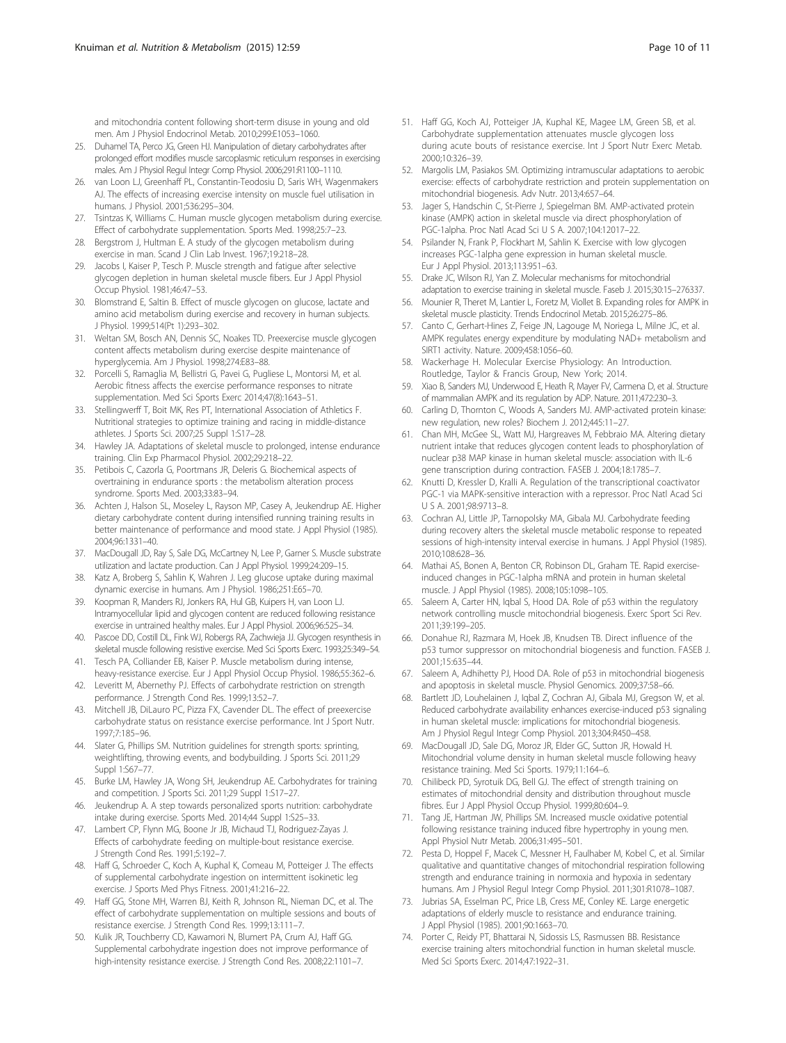<span id="page-9-0"></span>and mitochondria content following short-term disuse in young and old men. Am J Physiol Endocrinol Metab. 2010;299:E1053–1060.

- 25. Duhamel TA, Perco JG, Green HJ. Manipulation of dietary carbohydrates after prolonged effort modifies muscle sarcoplasmic reticulum responses in exercising males. Am J Physiol Regul Integr Comp Physiol. 2006;291:R1100–1110.
- 26. van Loon LJ, Greenhaff PL, Constantin-Teodosiu D, Saris WH, Wagenmakers AJ. The effects of increasing exercise intensity on muscle fuel utilisation in humans. J Physiol. 2001;536:295–304.
- 27. Tsintzas K, Williams C. Human muscle glycogen metabolism during exercise. Effect of carbohydrate supplementation. Sports Med. 1998;25:7–23.
- 28. Bergstrom J, Hultman E. A study of the glycogen metabolism during exercise in man. Scand J Clin Lab Invest. 1967;19:218–28.
- 29. Jacobs I, Kaiser P, Tesch P. Muscle strength and fatigue after selective glycogen depletion in human skeletal muscle fibers. Eur J Appl Physiol Occup Physiol. 1981;46:47–53.
- 30. Blomstrand E, Saltin B. Effect of muscle glycogen on glucose, lactate and amino acid metabolism during exercise and recovery in human subjects. J Physiol. 1999;514(Pt 1):293–302.
- 31. Weltan SM, Bosch AN, Dennis SC, Noakes TD. Preexercise muscle glycogen content affects metabolism during exercise despite maintenance of hyperglycemia. Am J Physiol. 1998;274:E83–88.
- 32. Porcelli S, Ramaglia M, Bellistri G, Pavei G, Pugliese L, Montorsi M, et al. Aerobic fitness affects the exercise performance responses to nitrate supplementation. Med Sci Sports Exerc 2014;47(8):1643–51.
- 33. Stellingwerff T, Boit MK, Res PT, International Association of Athletics F. Nutritional strategies to optimize training and racing in middle-distance athletes. J Sports Sci. 2007;25 Suppl 1:S17–28.
- 34. Hawley JA. Adaptations of skeletal muscle to prolonged, intense endurance training. Clin Exp Pharmacol Physiol. 2002;29:218–22.
- 35. Petibois C, Cazorla G, Poortmans JR, Deleris G. Biochemical aspects of overtraining in endurance sports : the metabolism alteration process syndrome. Sports Med. 2003;33:83–94.
- 36. Achten J, Halson SL, Moseley L, Rayson MP, Casey A, Jeukendrup AE. Higher dietary carbohydrate content during intensified running training results in better maintenance of performance and mood state. J Appl Physiol (1985). 2004;96:1331–40.
- 37. MacDougall JD, Ray S, Sale DG, McCartney N, Lee P, Garner S. Muscle substrate utilization and lactate production. Can J Appl Physiol. 1999;24:209–15.
- 38. Katz A, Broberg S, Sahlin K, Wahren J. Leg glucose uptake during maximal dynamic exercise in humans. Am J Physiol. 1986;251:E65–70.
- 39. Koopman R, Manders RJ, Jonkers RA, Hul GB, Kuipers H, van Loon LJ. Intramyocellular lipid and glycogen content are reduced following resistance exercise in untrained healthy males. Eur J Appl Physiol. 2006;96:525–34.
- 40. Pascoe DD, Costill DL, Fink WJ, Robergs RA, Zachwieja JJ. Glycogen resynthesis in skeletal muscle following resistive exercise. Med Sci Sports Exerc. 1993;25:349–54.
- 41. Tesch PA, Colliander EB, Kaiser P. Muscle metabolism during intense, heavy-resistance exercise. Eur J Appl Physiol Occup Physiol. 1986;55:362–6.
- 42. Leveritt M, Abernethy PJ. Effects of carbohydrate restriction on strength performance. J Strength Cond Res. 1999;13:52–7.
- 43. Mitchell JB, DiLauro PC, Pizza FX, Cavender DL. The effect of preexercise carbohydrate status on resistance exercise performance. Int J Sport Nutr. 1997;7:185–96.
- 44. Slater G, Phillips SM. Nutrition guidelines for strength sports: sprinting, weightlifting, throwing events, and bodybuilding. J Sports Sci. 2011;29 Suppl 1:S67–77.
- 45. Burke LM, Hawley JA, Wong SH, Jeukendrup AE. Carbohydrates for training and competition. J Sports Sci. 2011;29 Suppl 1:S17–27.
- 46. Jeukendrup A. A step towards personalized sports nutrition: carbohydrate intake during exercise. Sports Med. 2014;44 Suppl 1:S25–33.
- 47. Lambert CP, Flynn MG, Boone Jr JB, Michaud TJ, Rodriguez-Zayas J. Effects of carbohydrate feeding on multiple-bout resistance exercise. J Strength Cond Res. 1991;5:192–7.
- 48. Haff G, Schroeder C, Koch A, Kuphal K, Comeau M, Potteiger J. The effects of supplemental carbohydrate ingestion on intermittent isokinetic leg exercise. J Sports Med Phys Fitness. 2001;41:216–22.
- 49. Haff GG, Stone MH, Warren BJ, Keith R, Johnson RL, Nieman DC, et al. The effect of carbohydrate supplementation on multiple sessions and bouts of resistance exercise. J Strength Cond Res. 1999;13:111–7.
- 50. Kulik JR, Touchberry CD, Kawamori N, Blumert PA, Crum AJ, Haff GG. Supplemental carbohydrate ingestion does not improve performance of high-intensity resistance exercise. J Strength Cond Res. 2008;22:1101–7.
- 51. Haff GG, Koch AJ, Potteiger JA, Kuphal KE, Magee LM, Green SB, et al. Carbohydrate supplementation attenuates muscle glycogen loss during acute bouts of resistance exercise. Int J Sport Nutr Exerc Metab. 2000;10:326–39.
- 52. Margolis LM, Pasiakos SM. Optimizing intramuscular adaptations to aerobic exercise: effects of carbohydrate restriction and protein supplementation on mitochondrial biogenesis. Adv Nutr. 2013;4:657–64.
- 53. Jager S, Handschin C, St-Pierre J, Spiegelman BM. AMP-activated protein kinase (AMPK) action in skeletal muscle via direct phosphorylation of PGC-1alpha. Proc Natl Acad Sci U S A. 2007;104:12017–22.
- 54. Psilander N, Frank P, Flockhart M, Sahlin K. Exercise with low glycogen increases PGC-1alpha gene expression in human skeletal muscle. Eur J Appl Physiol. 2013;113:951–63.
- 55. Drake JC, Wilson RJ, Yan Z. Molecular mechanisms for mitochondrial adaptation to exercise training in skeletal muscle. Faseb J. 2015;30:15–276337.
- 56. Mounier R, Theret M, Lantier L, Foretz M, Viollet B. Expanding roles for AMPK in skeletal muscle plasticity. Trends Endocrinol Metab. 2015;26:275–86.
- 57. Canto C, Gerhart-Hines Z, Feige JN, Lagouge M, Noriega L, Milne JC, et al. AMPK regulates energy expenditure by modulating NAD+ metabolism and SIRT1 activity. Nature. 2009;458:1056–60.
- 58. Wackerhage H. Molecular Exercise Physiology: An Introduction. Routledge, Taylor & Francis Group, New York; 2014.
- 59. Xiao B, Sanders MJ, Underwood E, Heath R, Mayer FV, Carmena D, et al. Structure of mammalian AMPK and its regulation by ADP. Nature. 2011;472:230–3.
- Carling D, Thornton C, Woods A, Sanders MJ. AMP-activated protein kinase: new regulation, new roles? Biochem J. 2012;445:11–27.
- 61. Chan MH, McGee SL, Watt MJ, Hargreaves M, Febbraio MA. Altering dietary nutrient intake that reduces glycogen content leads to phosphorylation of nuclear p38 MAP kinase in human skeletal muscle: association with IL-6 gene transcription during contraction. FASEB J. 2004;18:1785–7.
- 62. Knutti D, Kressler D, Kralli A. Regulation of the transcriptional coactivator PGC-1 via MAPK-sensitive interaction with a repressor. Proc Natl Acad Sci U S A. 2001;98:9713–8.
- 63. Cochran AJ, Little JP, Tarnopolsky MA, Gibala MJ. Carbohydrate feeding during recovery alters the skeletal muscle metabolic response to repeated sessions of high-intensity interval exercise in humans. J Appl Physiol (1985). 2010;108:628–36.
- 64. Mathai AS, Bonen A, Benton CR, Robinson DL, Graham TE. Rapid exerciseinduced changes in PGC-1alpha mRNA and protein in human skeletal muscle. J Appl Physiol (1985). 2008;105:1098–105.
- 65. Saleem A, Carter HN, Iqbal S, Hood DA. Role of p53 within the regulatory network controlling muscle mitochondrial biogenesis. Exerc Sport Sci Rev. 2011;39:199–205.
- 66. Donahue RJ, Razmara M, Hoek JB, Knudsen TB. Direct influence of the p53 tumor suppressor on mitochondrial biogenesis and function. FASEB J. 2001;15:635–44.
- 67. Saleem A, Adhihetty PJ, Hood DA. Role of p53 in mitochondrial biogenesis and apoptosis in skeletal muscle. Physiol Genomics. 2009;37:58–66.
- 68. Bartlett JD, Louhelainen J, Iqbal Z, Cochran AJ, Gibala MJ, Gregson W, et al. Reduced carbohydrate availability enhances exercise-induced p53 signaling in human skeletal muscle: implications for mitochondrial biogenesis. Am J Physiol Regul Integr Comp Physiol. 2013;304:R450–458.
- 69. MacDougall JD, Sale DG, Moroz JR, Elder GC, Sutton JR, Howald H. Mitochondrial volume density in human skeletal muscle following heavy resistance training. Med Sci Sports. 1979;11:164–6.
- 70. Chilibeck PD, Syrotuik DG, Bell GJ. The effect of strength training on estimates of mitochondrial density and distribution throughout muscle fibres. Eur J Appl Physiol Occup Physiol. 1999;80:604–9.
- 71. Tang JE, Hartman JW, Phillips SM. Increased muscle oxidative potential following resistance training induced fibre hypertrophy in young men. Appl Physiol Nutr Metab. 2006;31:495–501.
- 72. Pesta D, Hoppel F, Macek C, Messner H, Faulhaber M, Kobel C, et al. Similar qualitative and quantitative changes of mitochondrial respiration following strength and endurance training in normoxia and hypoxia in sedentary humans. Am J Physiol Regul Integr Comp Physiol. 2011;301:R1078–1087.
- 73. Jubrias SA, Esselman PC, Price LB, Cress ME, Conley KE. Large energetic adaptations of elderly muscle to resistance and endurance training. J Appl Physiol (1985). 2001;90:1663–70.
- 74. Porter C, Reidy PT, Bhattarai N, Sidossis LS, Rasmussen BB. Resistance exercise training alters mitochondrial function in human skeletal muscle. Med Sci Sports Exerc. 2014;47:1922–31.